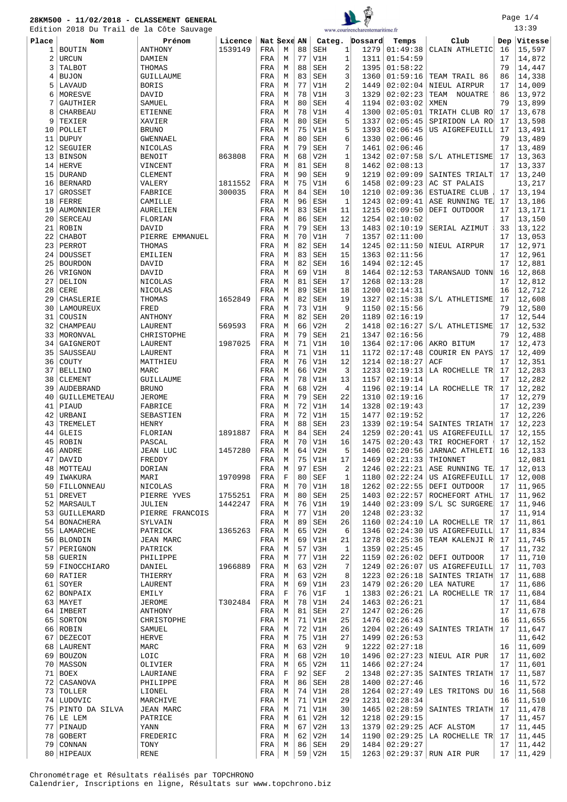Edition 2018 Du Trail de la Côte Sauvage



Page 1/4 13:39

|       | Edition 2018 Du Trail de la Cote Sauvage |                 |         |             |             |    |            |                | www.courirencharentemaritime.fr |          |                               |     | رد ۰د⊥  |
|-------|------------------------------------------|-----------------|---------|-------------|-------------|----|------------|----------------|---------------------------------|----------|-------------------------------|-----|---------|
| Place | Nom                                      | Prénom          | Licence | Nat Sexe AN |             |    |            | Categ.         | Dossard                         | Temps    | Club                          | Dep | Vitesse |
|       |                                          |                 |         |             |             |    |            |                |                                 |          |                               |     |         |
| 1     | <b>BOUTIN</b>                            | ANTHONY         | 1539149 | FRA         | М           | 88 | <b>SEH</b> | 1              | 1279                            | 01:49:38 | CLAIN ATHLETIC                | 16  | 15,597  |
| 2     | <b>URCUN</b>                             | DAMIEN          |         | FRA         | М           | 77 | V1H        | 1              | 1311                            | 01:54:59 |                               | 17  | 14,872  |
| 3     | TALBOT                                   | THOMAS          |         | FRA         | М           | 88 | <b>SEH</b> | 2              | 1395                            | 01:58:22 |                               | 79  | 14,447  |
| 4     | <b>BUJON</b>                             | GUILLAUME       |         | FRA         | М           | 83 | SEH        | 3              | 1360                            | 01:59:16 | TEAM TRAIL 86                 | 86  | 14,338  |
| 5     | LAVAUD                                   | <b>BORIS</b>    |         | FRA         | М           | 77 | V1H        | 2              | 1449                            | 02:02:04 | NIEUL AIRPUR                  | 17  | 14,009  |
|       |                                          |                 |         |             |             |    |            |                |                                 |          |                               |     |         |
| 6     | MORESVE                                  | DAVID           |         | FRA         | М           | 78 | V1H        | 3              | 1329                            | 02:02:23 | TEAM<br>NOUATRE               | 86  | 13,972  |
| 7     | GAUTHIER                                 | SAMUEL          |         | FRA         | М           | 80 | <b>SEH</b> | 4              | 1194                            | 02:03:02 | <b>XMEN</b>                   | 79  | 13,899  |
| 8     | CHARBEAU                                 | <b>ETIENNE</b>  |         | FRA         | М           | 78 | V1H        | 4              | 1300                            | 02:05:01 | TRIATH CLUB RO                | 17  | 13,678  |
| 9     | TEXIER                                   | XAVIER          |         | FRA         | М           | 80 | SEH        | 5              | 1337                            | 02:05:45 | SPIRIDON LA RO                | 17  | 13,598  |
|       |                                          |                 |         |             |             |    |            |                |                                 |          |                               |     |         |
| 10    | POLLET                                   | <b>BRUNO</b>    |         | FRA         | М           | 75 | V1H        | 5              | 1393                            | 02:06:45 | US AIGREFEUILL                | 17  | 13,491  |
| 11    | <b>DUPUY</b>                             | <b>GWENNAEL</b> |         | FRA         | М           | 80 | <b>SEH</b> | 6              | 1330                            | 02:06:46 |                               | 79  | 13,489  |
| 12    | SEGUIER                                  | NICOLAS         |         | FRA         | M           | 79 | <b>SEH</b> | 7              | 1461                            | 02:06:46 |                               | 17  | 13,489  |
| 13    | <b>BINSON</b>                            | <b>BENOIT</b>   | 863808  | FRA         | М           | 68 | V2H        | $\mathbf{1}$   | 1342                            | 02:07:58 | S/L ATHLETISME                | 17  | 13,363  |
|       |                                          |                 |         |             |             |    |            |                |                                 |          |                               |     |         |
| 14    | <b>HERVE</b>                             | VINCENT         |         | FRA         | М           | 81 | SEH        | 8              | 1462                            | 02:08:13 |                               | 17  | 13,337  |
| 15    | <b>DURAND</b>                            | <b>CLEMENT</b>  |         | FRA         | М           | 90 | <b>SEH</b> | 9              | 1219                            | 02:09:09 | SAINTES TRIALT                | 17  | 13,240  |
| 16    | <b>BERNARD</b>                           | VALERY          | 1811552 | FRA         | M           | 75 | V1H        | 6              | 1458                            | 02:09:23 | AC ST PALAIS                  |     | 13,217  |
| 17    | GROSSET                                  | FABRICE         | 300035  | FRA         | М           | 84 | <b>SEH</b> | 10             | 1210                            | 02:09:36 | ESTUAIRE CLUB                 | 17  | 13,194  |
|       |                                          |                 |         |             |             |    |            |                |                                 |          |                               |     |         |
| 18    | FERRE                                    | CAMILLE         |         | FRA         | М           | 96 | <b>ESH</b> | $\mathbf{1}$   | 1243                            | 02:09:41 | ASE RUNNING TE                | 17  | 13,186  |
| 19    | <b>AUMONNIER</b>                         | AURELIEN        |         | FRA         | М           | 83 | <b>SEH</b> | 11             | 1215                            | 02:09:50 | DEFI OUTDOOR                  | 17  | 13,171  |
| 20    | <b>SERCEAU</b>                           | FLORIAN         |         | FRA         | М           | 86 | <b>SEH</b> | 12             | 1254                            | 02:10:02 |                               | 17  | 13,150  |
| 21    | ROBIN                                    | DAVID           |         | FRA         | М           | 79 | <b>SEH</b> | 13             | 1483                            | 02:10:19 | SERIAL AZIMUT                 | 33  | 13,122  |
|       |                                          |                 |         |             |             |    |            |                |                                 |          |                               |     |         |
| 22    | CHABOT                                   | PIERRE EMMANUEL |         | FRA         | М           | 70 | V1H        | 7              | 1357                            | 02:11:00 |                               | 17  | 13,053  |
| 23    | PERROT                                   | THOMAS          |         | FRA         | М           | 82 | <b>SEH</b> | 14             | 1245                            | 02:11:50 | NIEUL AIRPUR                  | 17  | 12,971  |
| 24    | <b>DOUSSET</b>                           | EMILIEN         |         | FRA         | М           | 83 | <b>SEH</b> | 15             | 1363                            | 02:11:56 |                               | 17  | 12,961  |
| 25    | <b>BOURDON</b>                           |                 |         |             | M           | 82 | <b>SEH</b> | 16             | 1494                            | 02:12:45 |                               | 17  | 12,881  |
|       |                                          | DAVID           |         | FRA         |             |    |            |                |                                 |          |                               |     |         |
| 26    | VRIGNON                                  | DAVID           |         | FRA         | М           | 69 | V1H        | 8              | 1464                            | 02:12:53 | TARANSAUD TONN                | 16  | 12,868  |
| 27    | DELION                                   | NICOLAS         |         | FRA         | М           | 81 | <b>SEH</b> | 17             | 1268                            | 02:13:28 |                               | 17  | 12,812  |
| 28    | CERE                                     | NICOLAS         |         | FRA         | М           | 89 | <b>SEH</b> | 18             | 1200                            | 02:14:31 |                               | 16  | 12,712  |
| 29    |                                          |                 |         |             |             | 82 |            | 19             | 1327                            | 02:15:38 |                               | 17  |         |
|       | CHASLERIE                                | THOMAS          | 1652849 | FRA         | М           |    | <b>SEH</b> |                |                                 |          | S/L ATHLETISME                |     | 12,608  |
| 30    | LAMOUREUX                                | FRED            |         | FRA         | М           | 73 | V1H        | 9              | 1150                            | 02:15:56 |                               | 79  | 12,580  |
| 31    | COUSIN                                   | ANTHONY         |         | FRA         | М           | 82 | SEH        | 20             | 1189                            | 02:16:19 |                               | 17  | 12,544  |
| 32    | CHAMPEAU                                 | LAURENT         | 569593  | FRA         | М           | 66 | V2H        | $\overline{2}$ | 1418                            | 02:16:27 | S/L ATHLETISME                | 17  | 12,532  |
| 33    |                                          |                 |         |             |             | 79 |            | 21             | 1347                            | 02:16:56 |                               | 79  |         |
|       | MORONVAL                                 | CHRISTOPHE      |         | FRA         | M           |    | <b>SEH</b> |                |                                 |          |                               |     | 12,488  |
| 34    | GAIGNEROT                                | LAURENT         | 1987025 | FRA         | M           | 71 | V1H        | 10             | 1364                            | 02:17:06 | AKRO BITUM                    | 17  | 12,473  |
| 35    | SAUSSEAU                                 | LAURENT         |         | FRA         | М           | 71 | V1H        | 11             | 1172                            | 02:17:48 | COURIR EN PAYS                | 17  | 12,409  |
| 36    | COUTY                                    | MATTHIEU        |         | FRA         | М           | 76 | V1H        | 12             | 1214                            | 02:18:27 | ACF                           | 17  | 12,351  |
| 37    | <b>BELLINO</b>                           | MARC            |         |             | М           | 66 | V2H        | 3              | 1233                            | 02:19:13 | LA ROCHELLE TR                | 17  | 12,283  |
|       |                                          |                 |         | FRA         |             |    |            |                |                                 |          |                               |     |         |
| 38    | <b>CLEMENT</b>                           | GUILLAUME       |         | FRA         | М           | 78 | V1H        | 13             | 1157                            | 02:19:14 |                               | 17  | 12,282  |
| 39    | AUDEBRAND                                | <b>BRUNO</b>    |         | FRA         | М           | 68 | V2H        | $\overline{4}$ | 1196                            | 02:19:14 | LA ROCHELLE TR                | 17  | 12,282  |
| 40    | GUILLEMETEAU                             | <b>JEROME</b>   |         | FRA         | М           | 79 | <b>SEH</b> | 22             | 1310                            | 02:19:16 |                               | 17  | 12,279  |
| 41    | PIAUD                                    | FABRICE         |         |             | М           | 72 | V1H        | 14             | 1328                            | 02:19:43 |                               | 17  | 12,239  |
|       |                                          |                 |         | FRA         |             |    |            |                |                                 |          |                               |     |         |
| 42    | URBANI                                   | SEBASTIEN       |         | FRA         | М           | 72 | V1H        | 15             | 1477                            | 02:19:52 |                               | 17  | 12,226  |
| 43    | TREMELET                                 | HENRY           |         | FRA         | М           | 88 | SEH        | 23             | 1339                            | 02:19:54 | SAINTES TRIATH                | 17  | 12,223  |
| 44    | <b>GLEIS</b>                             | FLORIAN         | 1891887 | FRA         | М           | 84 | <b>SEH</b> | 24             | 1259                            | 02:20:41 | US AIGREFEUILL                | 17  | 12,155  |
| 45    | ROBIN                                    | PASCAL          |         | FRA         | М           | 70 | V1H        | 16             | 1475                            | 02:20:43 | TRI ROCHEFORT                 | 17  | 12,152  |
|       |                                          |                 |         |             |             |    |            |                |                                 |          |                               |     |         |
| 46    | ANDRE                                    | JEAN LUC        | 1457280 | FRA         | М           | 64 | V2H        | 5              | 1406                            |          | 02:20:56 JARNAC ATHLETI       | 16  | 12,133  |
| 47    | DAVID                                    | FREDDY          |         | FRA         | М           | 75 | V1H        | 17             | 1469                            | 02:21:33 | THIONNET                      |     | 12,081  |
|       | 48   MOTTEAU                             | DORIAN          |         | FRA         | М           | 97 | ESH        | $\overline{c}$ | 1246                            | 02:22:21 | ASE RUNNING TE                | 17  | 12,013  |
| 49    | IWAKURA                                  | MARI            | 1970998 | FRA         | $\mathbf F$ | 80 | SEF        | 1              | 1180                            | 02:22:24 | US AIGREFEUILL                | 17  | 12,008  |
|       |                                          |                 |         |             |             |    |            |                |                                 |          |                               |     |         |
| 50    | FILLONNEAU                               | NICOLAS         |         | FRA         | М           | 70 | V1H        | 18             | 1262                            | 02:22:55 | DEFI OUTDOOR                  | 17  | 11,965  |
| 51    | <b>DREVET</b>                            | PIERRE YVES     | 1755251 | FRA         | М           | 80 | <b>SEH</b> | 25             | 1403                            | 02:22:57 | ROCHEFORT ATHL                | 17  | 11,962  |
| 52    | MARSAULT                                 | JULIEN          | 1442247 | FRA         | М           | 76 | V1H        | 19             | 1440                            | 02:23:09 | S/L SC SURGERE                | 17  | 11,946  |
| 53    | GUILLEMARD                               | PIERRE FRANCOIS |         | FRA         | М           | 77 | V1H        | 20             | 1248                            | 02:23:32 |                               | 17  | 11,914  |
|       |                                          |                 |         |             |             |    |            |                |                                 |          |                               |     |         |
| 54    | <b>BONACHERA</b>                         | SYLVAIN         |         | FRA         | М           | 89 | SEH        | 26             | 1160                            | 02:24:10 | LA ROCHELLE TR                | 17  | 11,861  |
| 55    | LAMARCHE                                 | PATRICK         | 1365263 | FRA         | М           | 65 | V2H        | 6              | 1346                            | 02:24:30 | US AIGREFEUILL                | 17  | 11,834  |
| 56    | <b>BLONDIN</b>                           | JEAN MARC       |         | FRA         | М           | 69 | V1H        | 21             | 1278                            | 02:25:36 | TEAM KALENJI R                | 17  | 11,745  |
| 57    | PERIGNON                                 | PATRICK         |         | FRA         | М           | 57 | V3H        | 1              | 1359                            | 02:25:45 |                               | 17  | 11,732  |
|       |                                          |                 |         |             |             |    |            |                |                                 |          |                               |     |         |
| 58    | GUERIN                                   | PHILIPPE        |         | FRA         | М           | 77 | V1H        | 22             | 1159                            | 02:26:02 | DEFI OUTDOOR                  | 17  | 11,710  |
|       | 59 FINOCCHIARO                           | DANIEL          | 1966889 | FRA         | М           | 63 | V2H        | 7              | 1249                            | 02:26:07 | US AIGREFEUILL                | 17  | 11,703  |
|       | 60 RATIER                                | THIERRY         |         | FRA         | М           | 63 | V2H        | 8              | 1223                            | 02:26:18 | SAINTES TRIATH                | 17  | 11,688  |
| 61    | SOYER                                    | LAURENT         |         | FRA         | М           | 69 | V1H        | 23             | 1479                            | 02:26:20 | LEA NATURE                    | 17  | 11,686  |
|       |                                          |                 |         |             |             |    |            |                |                                 |          |                               |     |         |
|       | 62 BONPAIX                               | EMILY           |         | FRA         | $\mathbf F$ | 76 | V1F        | $\mathbf{1}$   | 1383                            | 02:26:21 | LA ROCHELLE TR                | 17  | 11,684  |
| 63    | MAYET                                    | JEROME          | T302484 | FRA         | М           | 78 | V1H        | 24             | 1463                            | 02:26:21 |                               | 17  | 11,684  |
| 64    | IMBERT                                   | ANTHONY         |         | FRA         | М           | 81 | SEH        | 27             | 1247                            | 02:26:26 |                               | 17  | 11,678  |
| 65    | SORTON                                   |                 |         | FRA         | М           | 71 | V1H        | 25             | 1476                            | 02:26:43 |                               | 16  | 11,655  |
|       |                                          | CHRISTOPHE      |         |             |             |    |            |                |                                 |          |                               |     |         |
|       | 66 ROBIN                                 | SAMUEL          |         | FRA         | М           | 72 | V1H        | 26             | 1204                            | 02:26:49 | SAINTES TRIATH                | 17  | 11,647  |
| 67    | DEZECOT                                  | HERVE           |         | FRA         | М           | 75 | V1H        | 27             | 1499                            | 02:26:53 |                               |     | 11,642  |
|       | 68 LAURENT                               | MARC            |         | FRA         | М           | 63 | V2H        | 9              | 1222                            | 02:27:18 |                               | 16  | 11,609  |
|       | 69 BOUZON                                | LOIC            |         | FRA         | М           | 68 | V2H        | 10             | 1496                            |          | $02:27:23$ NIEUL AIR PUR      | 17  | 11,602  |
|       |                                          |                 |         |             |             |    |            |                |                                 |          |                               |     |         |
| 70    | MASSON                                   | OLIVIER         |         | FRA         | М           | 65 | V2H        | 11             | 1466                            | 02:27:24 |                               | 17  | 11,601  |
| 71    | BOEX                                     | LAURIANE        |         | FRA         | $\mathbf F$ | 92 | SEF        | $\overline{c}$ | 1348                            | 02:27:35 | SAINTES TRIATH                | 17  | 11,587  |
| 72    | CASANOVA                                 | PHILIPPE        |         | FRA         | М           | 86 | SEH        | 28             | 1400                            | 02:27:46 |                               | 16  | 11,572  |
|       |                                          |                 |         |             |             | 74 |            |                |                                 | 02:27:49 |                               |     |         |
| 73    | TOLLER                                   | LIONEL          |         | FRA         | М           |    | V1H        | 28             | 1264                            |          | LES TRITONS DU                | 16  | 11,568  |
| 74    | LUDOVIC                                  | MARCHIVE        |         | FRA         | М           | 71 | V1H        | 29             | 1231                            | 02:28:34 |                               | 16  | 11,510  |
|       | 75 PINTO DA SILVA                        | JEAN MARC       |         | FRA         | М           | 71 | V1H        | 30             | 1465                            | 02:28:59 | SAINTES TRIATH                | 17  | 11,478  |
|       | $76$ LE LEM                              | PATRICE         |         | FRA         | М           | 61 | V2H        | 12             | 1218                            | 02:29:15 |                               | 17  | 11,457  |
|       | 77   PINAUD                              |                 |         |             | М           | 67 |            | 13             |                                 |          |                               | 17  |         |
|       |                                          | YANN            |         | FRA         |             |    | V2H        |                | 1379                            | 02:29:25 | ACF ALSTOM                    |     | 11,445  |
| 78    | <b>GOBERT</b>                            | FREDERIC        |         | FRA         | М           | 62 | V2H        | 14             | 1190                            |          | $02:29:25$ LA ROCHELLE TR     | 17  | 11,445  |
| 79    | CONNAN                                   | TONY            |         | FRA         | М           | 86 | SEH        | 29             | 1484                            | 02:29:27 |                               | 17  | 11,442  |
|       | 80 HIPEAUX                               | RENE            |         | FRA         | М           |    | $59$ V2H   | 15             |                                 |          | 1263   02:29:37   RUN AIR PUR | 17  | 11,429  |

Chronométrage et Résultats réalisés par TOPCHRONO Calendrier, Inscriptions en ligne, Résultats sur www.topchrono.biz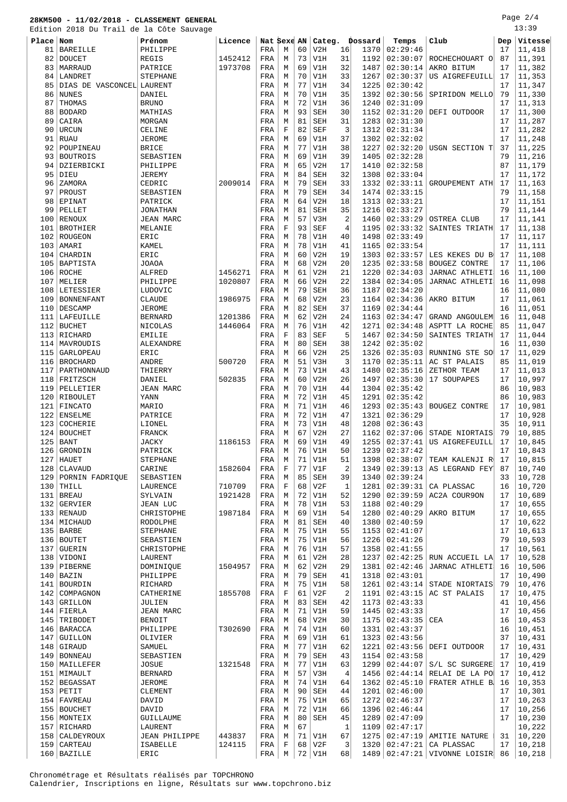Edition 2018 Du Trail de la Côte Sauvage

Page 2/4 13:39

| ratrio             |                           | zulo Du Irali de la Cote Sauvage |         |             |             |    |            |                |                |                 |                       |     |         |
|--------------------|---------------------------|----------------------------------|---------|-------------|-------------|----|------------|----------------|----------------|-----------------|-----------------------|-----|---------|
| Place <sub>1</sub> | Nom                       | Prénom                           | Licence | Nat Sexe AN |             |    |            |                | Categ. Dossard | Temps           | Club                  | Dep | Vitesse |
| 81                 | <b>BAREILLE</b>           | PHILIPPE                         |         | FRA         | М           | 60 | V2H        | 16             | 1370           | 02:29:46        |                       | 17  | 11,418  |
| 82                 | <b>DOUCET</b>             | <b>REGIS</b>                     | 1452412 | FRA         | M           | 73 | V1H        | 31             | 1192           | 02:30:07        | ROCHECHOUART O        | 87  | 11,391  |
| 83                 | MARRAUD                   | PATRICE                          | 1973708 | FRA         | M           | 69 | V1H        | 32             | 1487           | 02:30:14        | AKRO BITUM            | 17  | 11,382  |
|                    |                           |                                  |         |             |             |    |            |                |                |                 |                       |     |         |
| 84                 | LANDRET                   | <b>STEPHANE</b>                  |         | FRA         | М           | 70 | V1H        | 33             | 1267           | 02:30:37        | US AIGREFEUILL        | 17  | 11,353  |
| 85                 | DIAS DE VASCONCEL LAURENT |                                  |         | FRA         | М           | 77 | V1H        | 34             | 1225           | 02:30:42        |                       | 17  | 11,347  |
| 86                 | <b>NUNES</b>              | DANIEL                           |         | FRA         | М           | 70 | V1H        | 35             | 1392           | 02:30:56        | SPIRIDON MELLO        | 79  | 11,330  |
| 87                 | THOMAS                    | <b>BRUNO</b>                     |         | FRA         | M           | 72 | V1H        | 36             | 1240           | 02:31:09        |                       | 17  | 11,313  |
| 88                 | <b>BODARD</b>             | MATHIAS                          |         | FRA         | М           | 93 | SEH        | 30             | 1152           | 02:31:20        | DEFI OUTDOOR          | 17  | 11,300  |
| 89                 | CAIRA                     | MORGAN                           |         | FRA         | М           | 81 | SEH        | 31             | 1283           | 02:31:30        |                       | 17  | 11,287  |
| 90                 | <b>URCUN</b>              | CELINE                           |         | FRA         | F           | 82 | <b>SEF</b> | 3              | 1312           | 02:31:34        |                       | 17  | 11,282  |
| 91                 | <b>RUAU</b>               | <b>JEROME</b>                    |         | FRA         | M           | 69 | V1H        | 37             | 1302           | 02:32:02        |                       | 17  | 11,248  |
|                    |                           |                                  |         |             |             | 77 |            |                |                |                 |                       |     | 11,225  |
| 92                 | POUPINEAU                 | <b>BRICE</b>                     |         | FRA         | М           |    | V1H        | 38             | 1227           | 02:32:20        | USGN SECTION T        | 37  |         |
| 93                 | <b>BOUTROIS</b>           | SEBASTIEN                        |         | FRA         | М           | 69 | V1H        | 39             | 1405           | 02:32:28        |                       | 79  | 11,216  |
| 94                 | DZIERBICKI                | PHILIPPE                         |         | FRA         | М           | 65 | V2H        | 17             | 1410           | 02:32:58        |                       | 87  | 11,179  |
| 95                 | DIEU                      | <b>JEREMY</b>                    |         | FRA         | M           | 84 | SEH        | 32             | 1308           | 02:33:04        |                       | 17  | 11,172  |
| 96                 | ZAMORA                    | CEDRIC                           | 2009014 | FRA         | M           | 79 | SEH        | 33             | 1332           | 02:33:11        | GROUPEMENT ATH        | 17  | 11,163  |
| 97                 | PROUST                    | SEBASTIEN                        |         | FRA         | M           | 79 | SEH        | 34             | 1474           | 02:33:15        |                       | 79  | 11,158  |
| 98                 | EPINAT                    | PATRICK                          |         | FRA         | М           | 64 | V2H        | 18             | 1313           | 02:33:21        |                       | 17  | 11,151  |
| 99                 | PELLET                    | <b>JONATHAN</b>                  |         | FRA         | M           | 81 | SEH        | 35             | 1216           | 02:33:27        |                       | 79  | 11,144  |
|                    |                           |                                  |         |             |             |    |            |                |                |                 |                       |     |         |
| 100                | RENOUX                    | JEAN MARC                        |         | FRA         | M           | 57 | V3H        | $\overline{2}$ | 1460           | 02:33:29        | <b>OSTREA CLUB</b>    | 17  | 11,141  |
| 101                | <b>BROTHIER</b>           | MELANIE                          |         | FRA         | $\mathbf F$ | 93 | <b>SEF</b> | 4              | 1195           | 02:33:32        | SAINTES TRIATH        | 17  | 11,138  |
| 102                | ROUGEON                   | ERIC                             |         | FRA         | М           | 78 | V1H        | 40             | 1498           | 02:33:49        |                       | 17  | 11,117  |
| 103                | AMARI                     | KAMEL                            |         | FRA         | M           | 78 | V1H        | 41             | 1165           | 02:33:54        |                       | 17  | 11,111  |
| 104                | CHARDIN                   | ERIC                             |         | FRA         | M           | 60 | V2H        | 19             | 1303           | 02:33:57        | LES KEKES DU B        | 17  | 11,108  |
| 105                | BAPTISTA                  | <b>JOAOA</b>                     |         | FRA         | M           | 68 | V2H        | 20             | 1235           | 02:33:58        | BOUGEZ CONTRE         | 17  | 11,106  |
| 106                | <b>ROCHE</b>              | <b>ALFRED</b>                    | 1456271 | FRA         | М           | 61 | V2H        | 21             | 1220           | 02:34:03        | JARNAC ATHLETI        | 16  | 11,100  |
|                    |                           |                                  |         |             |             |    |            |                |                |                 |                       |     |         |
| 107                | MELIER                    | PHILIPPE                         | 1020807 | FRA         | M           | 66 | V2H        | 22             | 1384           | 02:34:05        | JARNAC ATHLETI        | 16  | 11,098  |
| 108                | LETESSIER                 | LUDOVIC                          |         | FRA         | M           | 79 | SEH        | 36             | 1187           | 02:34:20        |                       | 16  | 11,080  |
| 109                | <b>BONNENFANT</b>         | <b>CLAUDE</b>                    | 1986975 | FRA         | M           | 68 | V2H        | 23             | 1164           | 02:34:36        | AKRO BITUM            | 17  | 11,061  |
| 110                | DESCAMP                   | <b>JEROME</b>                    |         | FRA         | М           | 82 | <b>SEH</b> | 37             | 1169           | 02:34:44        |                       | 16  | 11,051  |
| 111                | LAFEUILLE                 | <b>BERNARD</b>                   | 1201386 | FRA         | M           | 62 | V2H        | 24             | 1163           | 02:34:47        | GRAND ANGOULEM        | 16  | 11,048  |
| 112                | <b>BUCHET</b>             | NICOLAS                          | 1446064 | FRA         | M           | 76 | V1H        | 42             | 1271           | 02:34:48        | ASPTT LA ROCHE        | 85  | 11,047  |
| 113                | RICHARD                   | <b>EMILIE</b>                    |         | FRA         | $\mathbf F$ | 83 | <b>SEF</b> | 5              | 1467           | 02:34:50        | SAINTES TRIATH        | 17  | 11,044  |
|                    |                           |                                  |         |             | M           | 80 | SEH        |                |                | 02:35:02        |                       | 16  |         |
| 114                | MAVROUDIS                 | ALEXANDRE                        |         | FRA         |             |    |            | 38             | 1242           |                 |                       |     | 11,030  |
| 115                | <b>GARLOPEAU</b>          | ERIC                             |         | FRA         | М           | 66 | V2H        | 25             | 1326           | 02:35:03        | RUNNING STE SO        | 17  | 11,029  |
| 116                | <b>BROCHARD</b>           | ANDRE                            | 500720  | FRA         | M           | 51 | V3H        | 3              | 1170           | 02:35:11        | AC ST PALAIS          | 85  | 11,019  |
| 117                | PARTHONNAUD               | THIERRY                          |         | FRA         | M           | 73 | V1H        | 43             | 1480           | 02:35:16        | ZETHOR TEAM           | 17  | 11,013  |
| 118                | FRITZSCH                  | DANIEL                           | 502835  | FRA         | M           | 60 | V2H        | 26             | 1497           | 02:35:30        | 17 SOUPAPES           | 17  | 10,997  |
| 119                | PELLETIER                 | <b>JEAN MARC</b>                 |         | FRA         | М           | 70 | V1H        | 44             | 1304           | 02:35:42        |                       | 86  | 10,983  |
| 120                | RIBOULET                  | YANN                             |         | FRA         | М           | 72 | V1H        | 45             | 1291           | 02:35:42        |                       | 86  | 10,983  |
| 121                | FINCATO                   | MARIO                            |         | FRA         | М           | 71 | V1H        | 46             | 1293           | 02:35:43        | BOUGEZ CONTRE         | 17  | 10,981  |
|                    |                           |                                  |         |             |             |    |            |                |                |                 |                       |     |         |
| 122                | <b>ENSELME</b>            | PATRICE                          |         | FRA         | М           | 72 | V1H        | 47             | 1321           | 02:36:29        |                       | 17  | 10,928  |
| 123                | COCHERIE                  | LIONEL                           |         | FRA         | М           | 73 | V1H        | 48             | 1208           | 02:36:43        |                       | 35  | 10,911  |
| 124                | <b>BOUCHET</b>            | FRANCK                           |         | FRA         | М           | 67 | V2H        | 27             | 1162           | 02:37:06        | STADE NIORTAIS        | 79  | 10,885  |
| 125                | <b>BANT</b>               | <b>JACKY</b>                     | 1186153 | FRA         | M           | 69 | V1H        | 49             | 1255           | 02:37:41        | US AIGREFEUILL        | 17  | 10,845  |
|                    | 126 GRONDIN               | PATRICK                          |         | FRA         | M           | 76 | V1H        | 50             | 1239           | 02:37:42        |                       | 17  | 10,843  |
| 127                | HAUET                     | STEPHANE                         |         | FRA         | M           | 71 | V1H        | 51             | 1398           | 02:38:07        | TEAM KALENJI R        | 17  | 10,815  |
|                    | 128   CLAVAUD             | CARINE                           | 1582604 | FRA         | $\mathbf F$ | 77 | V1F        | $\overline{2}$ | 1349           | 02:39:13        | AS LEGRAND FEY        | 87  | 10,740  |
| 129                |                           |                                  |         |             | M           | 85 |            | 39             |                | 02:39:24        |                       | 33  |         |
|                    | PORNIN FADRIQUE           | SEBASTIEN                        |         | FRA         |             |    | SEH        |                | 1340           |                 |                       |     | 10,728  |
|                    | 130 THILL                 | LAURENCE                         | 710709  | FRA         | $\mathbf F$ | 68 | V2F        | $\mathbf{1}$   | 1281           | 02:39:31        | CA PLASSAC            | 16  | 10,720  |
|                    | 131 BREAU                 | SYLVAIN                          | 1921428 | FRA         | М           | 72 | V1H        | 52             | 1290           | 02:39:59        | AC2A COUR9ON          | 17  | 10,689  |
|                    | 132 GERVIER               | <b>JEAN LUC</b>                  |         | FRA         | М           | 78 | V1H        | 53             | 1188           | 02:40:29        |                       | 17  | 10,655  |
|                    | 133 RENAUD                | CHRISTOPHE                       | 1987184 | FRA         | М           | 69 | V1H        | 54             | 1280           | 02:40:29        | AKRO BITUM            | 17  | 10,655  |
|                    | 134   MICHAUD             | <b>RODOLPHE</b>                  |         | FRA         | M           | 81 | <b>SEH</b> | 40             | 1380           | 02:40:59        |                       | 17  | 10,622  |
|                    | $135$ BARBE               | STEPHANE                         |         | FRA         | М           | 75 | V1H        | 55             | 1153           | 02:41:07        |                       | 17  | 10,613  |
|                    | 136 BOUTET                | SEBASTIEN                        |         | FRA         | М           | 75 | V1H        | 56             | 1226           | 02:41:26        |                       | 79  | 10,593  |
|                    | 137 GUERIN                | CHRISTOPHE                       |         | FRA         | М           | 76 | V1H        | 57             | 1358           | 02:41:55        |                       | 17  | 10,561  |
|                    |                           |                                  |         |             |             |    |            |                |                |                 |                       |     |         |
|                    | 138 VIDONI                | LAURENT                          |         | FRA         | M           | 61 | V2H        | 28             | 1237           | 02:42:25        | RUN ACCUEIL LA        | 17  | 10,528  |
|                    | 139   PIBERNE             | DOMINIQUE                        | 1504957 | FRA         | М           | 62 | V2H        | 29             | 1381           | 02:42:46        | <b>JARNAC ATHLETI</b> | 16  | 10,506  |
|                    | $140$ BAZIN               | PHILIPPE                         |         | FRA         | М           | 79 | <b>SEH</b> | 41             | 1318           | 02:43:01        |                       | 17  | 10,490  |
| 141                | BOURDIN                   | RICHARD                          |         | FRA         | М           | 75 | V1H        | 58             | 1261           | 02:43:14        | STADE NIORTAIS        | 79  | 10,476  |
|                    | 142 COMPAGNON             | CATHERINE                        | 1855708 | FRA         | $\mathbf F$ | 61 | V2F        | $\overline{2}$ | 1191           | 02:43:15        | AC ST PALAIS          | 17  | 10,475  |
|                    | 143 GRILLON               | JULIEN                           |         | FRA         | М           | 83 | SEH        | 42             | 1173           | 02:43:33        |                       | 41  | 10,456  |
|                    |                           |                                  |         |             |             | 71 |            |                |                |                 |                       |     |         |
|                    | $144$ FIERLA              | JEAN MARC                        |         | FRA         | М           |    | V1H        | 59             | 1445           | 02:43:33        |                       | 17  | 10,456  |
| 145                | TRIBODET                  | <b>BENOIT</b>                    |         | FRA         | М           | 68 | V2H        | 30             | 1175           | 02:43:35        | CEA                   | 16  | 10,453  |
|                    | 146   BARACCA             | PHILIPPE                         | T302690 | FRA         | M           | 74 | V1H        | 60             | 1331           | 02:43:37        |                       | 16  | 10,451  |
| 147                | GUILLON                   | OLIVIER                          |         | FRA         | М           | 69 | V1H        | 61             | 1323           | 02:43:56        |                       | 37  | 10,431  |
|                    | 148 GIRAUD                | SAMUEL                           |         | FRA         | М           | 77 | V1H        | 62             | 1221           | 02:43:56        | DEFI OUTDOOR          | 17  | 10,431  |
|                    | 149 BONNEAU               | SEBASTIEN                        |         | FRA         | М           | 79 | SEH        | 43             | 1154           | 02:43:58        |                       | 17  | 10,429  |
|                    | 150   MAILLEFER           | JOSUE                            | 1321548 | FRA         | М           | 77 | V1H        | 63             | 1299           | 02:44:07        | S/L SC SURGERE        | 17  | 10,419  |
|                    |                           |                                  |         |             | М           | 57 | V3H        | $\overline{4}$ |                | 02:44:14        | RELAI DE LA PO        | 17  | 10,412  |
|                    | 151   MIMAULT             | <b>BERNARD</b>                   |         | FRA         |             |    |            |                | 1456           |                 |                       |     |         |
|                    | 152   BEGASSAT            | <b>JEROME</b>                    |         | FRA         | М           | 74 | V1H        | 64             | 1362           | 02:45:10        | FRATER ATHLE B        | 16  | 10,353  |
|                    | $153$ PETIT               | CLEMENT                          |         | FRA         | М           | 90 | <b>SEH</b> | 44             | 1201           | 02:46:00        |                       | 17  | 10,301  |
|                    | 154   FAVREAU             | DAVID                            |         | FRA         | М           | 75 | V1H        | 65             | 1272           | 02:46:37        |                       | 17  | 10,263  |
|                    | 155 BOUCHET               | DAVID                            |         | FRA         | М           | 72 | V1H        | 66             | 1396           | 02:46:44        |                       | 17  | 10,256  |
|                    | 156   MONTEIX             | GUILLAUME                        |         | FRA         | М           | 80 | <b>SEH</b> | 45             | 1289           | 02:47:09        |                       | 17  | 10,230  |
|                    | 157 RICHARD               | LAURENT                          |         | FRA         | М           | 67 |            | 1              | 1109           | 02:47:17        |                       |     | 10,222  |
|                    | 158   CALDEYROUX          | <b>JEAN PHILIPPE</b>             | 443837  | FRA         | М           | 71 | V1H        | 67             | 1275           | 02:47:19        | AMITIE NATURE         | 31  | 10,220  |
|                    |                           |                                  |         |             |             |    |            |                |                |                 |                       |     |         |
|                    | 159 CARTEAU               | <b>ISABELLE</b>                  | 124115  | FRA         | $\mathbf F$ | 68 | V2F        | 3              | 1320           | 02:47:21        | CA PLASSAC            | 17  | 10,218  |
|                    | 160   BAZILLE             | ERIC                             |         | FRA         | М           |    | $72$ V1H   | 68             |                | 1489   02:47:21 | VIVONNE LOISIR        | 86  | 10,218  |

Chronométrage et Résultats réalisés par TOPCHRONO Calendrier, Inscriptions en ligne, Résultats sur www.topchrono.biz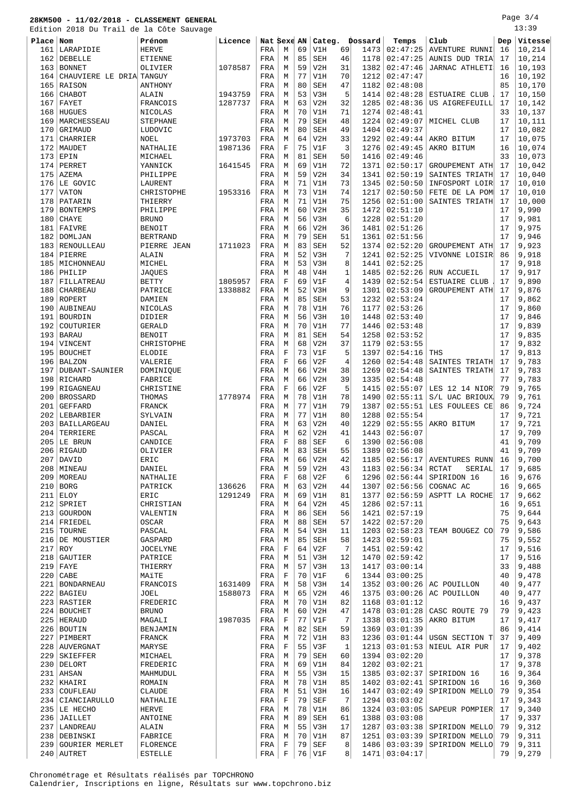Page 3/4 13:39

|            | Edition 2018 Du Trail de la Côte Sauvage |                   |         |             |             |          |            |                |              |                      |                                  |          | 13:39          |
|------------|------------------------------------------|-------------------|---------|-------------|-------------|----------|------------|----------------|--------------|----------------------|----------------------------------|----------|----------------|
| Place      | Nom                                      | Prénom            | Licence | Nat Sexe AN |             |          | Categ.     |                | Dossard      | Temps                | Club                             | Dep      | Vitesse        |
| 161        | LARAPIDIE                                | <b>HERVE</b>      |         | FRA         | М           | 69       | V1H        | 69             | 1473         | 02:47:25             | AVENTURE RUNNI                   | 16       | 10,214         |
| 162        | DEBELLE                                  | ETIENNE           |         | FRA         | М           | 85       | <b>SEH</b> | 46             | 1178         | 02:47:25             | AUNIS DUD TRIA                   | 17       | 10,214         |
| 163        | <b>BONNET</b>                            | OLIVIER           | 1078587 | FRA         | М           | 59       | V2H        | 31             | 1382         | 02:47:46             | JARNAC ATHLETI                   | 16       | 10,193         |
| 164        | CHAUVIERE LE DRIA TANGUY                 |                   |         | FRA         | М           | 77       | V1H        | 70             | 1212         | 02:47:47             |                                  | 16       | 10,192         |
| 165        | RAISON                                   | ANTHONY           |         | FRA         | М           | 80       | <b>SEH</b> | 47             | 1182         | 02:48:08             |                                  | 85       | 10,170         |
| 166        | <b>CHABOT</b>                            | ALAIN             | 1943759 | FRA         | M           | 53       | V3H        | 5              | 1414         | 02:48:28             | <b>ESTUAIRE CLUB</b>             | 17       | 10,150         |
| 167        | FAYET                                    | FRANCOIS          | 1287737 | FRA         | M           | 63       | V2H        | 32             | 1285         | 02:48:36             | US AIGREFEUILL                   | 17       | 10,142         |
| 168        | HUGUES                                   | NICOLAS           |         | FRA         | M           | 70       | V1H        | 71             | 1274         | 02:48:41             |                                  | 33       | 10,137         |
| 169        | MARCHESSEAU                              | <b>STEPHANE</b>   |         | FRA         | М           | 79       | <b>SEH</b> | 48             | 1224         | 02:49:07             | MICHEL CLUB                      | 17       | 10,111         |
| 170        | GRIMAUD                                  | LUDOVIC           |         | FRA         | М           | 80       | <b>SEH</b> | 49             | 1404         | 02:49:37             |                                  | 17       | 10,082         |
| 171        | CHARRIER                                 | NOEL              | 1973703 | FRA         | M           | 64       | V2H        | 33             | 1292         | 02:49:44             | AKRO BITUM                       | 17       | 10,075         |
| 172        | MAUDET                                   | NATHALIE          | 1987136 | FRA         | F           | 75       | V1F        | 3              | 1276         | 02:49:45             | AKRO BITUM                       | 16       | 10,074         |
| 173        | EPIN                                     | MICHAEL           |         | FRA         | M           | 81       | <b>SEH</b> | 50             | 1416         | 02:49:46             |                                  | 33       | 10,073         |
| 174        | PERRET                                   | YANNICK           | 1641545 | FRA         | М           | 69       | V1H        | 72             | 1371         | 02:50:17             | GROUPEMENT ATH                   | 17       | 10,042         |
| 175        | <b>AZEMA</b>                             | PHILIPPE          |         | FRA         | M           | 59       | V2H        | 34             | 1341         | 02:50:19             | SAINTES TRIATH                   | 17       | 10,040         |
| 176        | LE GOVIC                                 | LAURENT           |         | FRA         | M           | 71       | V1H        | 73             | 1345         | 02:50:50             | INFOSPORT LOIR                   | 17       | 10,010         |
| 177        | VATON                                    | CHRISTOPHE        | 1953316 | FRA         | M           | 73       | V1H        | 74             | 1217         | 02:50:50             | FETE DE LA POM                   | 17       | 10,010         |
| 178        | PATARIN                                  | THIERRY           |         | FRA         | М           | 71       | V1H        | 75             | 1256         | 02:51:00             | SAINTES TRIATH                   | 17       | 10,000         |
| 179        | <b>BONTEMPS</b>                          | PHILIPPE          |         | FRA         | M           | 60       | V2H        | 35             | 1472         | 02:51:10             |                                  | 17       | 9,990          |
| 180        | CHAYE                                    | <b>BRUNO</b>      |         | FRA         | М           | 56       | V3H        | 6              | 1228         | 02:51:20             |                                  | 17       | 9,981          |
| 181        | FAIVRE                                   | <b>BENOIT</b>     |         | FRA         | М           | 66       | V2H        | 36             | 1481         | 02:51:26             |                                  | 17       | 9,975          |
| 182        | <b>DOMLJAN</b>                           | <b>BERTRAND</b>   |         | FRA         | M           | 79       | <b>SEH</b> | 51             | 1361         | 02:51:56             |                                  | 17       | 9,946          |
| 183        | RENOULLEAU                               | PIERRE JEAN       | 1711023 | FRA         | М           | 83       | <b>SEH</b> | 52             | 1374         | 02:52:20             | GROUPEMENT ATH                   | 17       | 9,923          |
| 184        | PIERRE                                   | ALAIN             |         | FRA         | M           | 52       | V3H        | 7              | 1241         | 02:52:25             | VIVONNE LOISIR                   | 86       | 9,918          |
| 185        | MICHONNEAU                               | MICHEL            |         | FRA         | М           | 53       | V3H        | 8              | 1441         | 02:52:25             |                                  | 17       | 9,918          |
| 186        | PHILIP                                   | <b>JAQUES</b>     |         | FRA         | M           | 48       | V4H        | 1              | 1485         | 02:52:26             | RUN ACCUEIL                      | 17       | 9,917          |
| 187        | FILLATREAU                               | <b>BETTY</b>      | 1805957 | FRA         | $\mathbf F$ | 69       | V1F        | $\overline{4}$ | 1439         | 02:52:54             | <b>ESTUAIRE CLUB</b>             | 17       | 9,890          |
| 188        | CHARBEAU                                 | PATRICE           | 1338882 | FRA         | M           | 52       | V3H        | 9              | 1301         | 02:53:09             | GROUPEMENT ATH                   | 17       | 9,876          |
| 189        | ROPERT                                   | DAMIEN            |         | FRA         | М           | 85       | <b>SEH</b> | 53             | 1232         | 02:53:24             |                                  | 17       | 9,862          |
| 190        | AUBINEAU                                 | NICOLAS           |         | FRA         | М           | 78       | V1H        | 76             | 1177         | 02:53:26             |                                  | 17       | 9,860          |
| 191        | BOURDIN                                  | DIDIER            |         | FRA         | M           | 56       | V3H        | 10             | 1448         | 02:53:40             |                                  | 17       | 9,846          |
| 192        | COUTURIER                                | <b>GERALD</b>     |         | FRA         | М           | 70       | V1H        | 77             | 1446         | 02:53:48             |                                  | 17       | 9,839          |
| 193        | <b>BARAU</b>                             | <b>BENOIT</b>     |         | FRA         | М           | 81       | <b>SEH</b> | 54             | 1258         | 02:53:52             |                                  | 17       | 9,835          |
| 194        | VINCENT                                  | CHRISTOPHE        |         | FRA         | М           | 68       | V2H        | 37             | 1179         | 02:53:55             |                                  | 17       | 9,832          |
| 195        | <b>BOUCHET</b>                           | ELODIE            |         | FRA         | $\mathbf F$ | 73       | V1F        | 5              | 1397         | 02:54:16             | THS                              | 17       | 9,813          |
| 196        | <b>BALZON</b>                            | VALERIE           |         | FRA         | F           | 66       | V2F        | $\overline{4}$ | 1260         | 02:54:48             | SAINTES TRIATH                   | 17       | 9,783          |
| 197        | <b>DUBANT-SAUNIER</b>                    | DOMINIQUE         |         | FRA         | М           | 66       | V2H        | 38             | 1269         | 02:54:48             | SAINTES TRIATH                   | 17       | 9,783          |
| 198        | RICHARD                                  | FABRICE           |         | FRA         | М           | 66       | V2H        | 39             | 1335         | 02:54:48             |                                  | 77       | 9,783          |
| 199        | RIGAGNEAU<br><b>BROSSARD</b>             | CHRISTINE         | 1778974 | FRA         | $\mathbf F$ | 66<br>78 | V2F        | 5<br>78        | 1415         | 02:55:07             | LES 12 14 NIOR                   | 79<br>79 | 9,765          |
| 200        |                                          | THOMAS            |         | FRA         | M           | 77       | V1H<br>V1H | 79             | 1490         | 02:55:11<br>02:55:51 | S/L UAC BRIOUX<br>LES FOULEES CE |          | 9,761          |
| 201<br>202 | <b>GEFFARD</b>                           | FRANCK            |         | FRA         | M           | 77       | V1H        | 80             | 1387<br>1288 | 02:55:54             |                                  | 86<br>17 | 9,724<br>9,721 |
| 203        | LEBARBIER<br>BAILLARGEAU                 | SYLVAIN<br>DANIEL |         | FRA<br>FRA  | М<br>М      | 63       | V2H        | 40             | 1229         | 02:55:55             | AKRO BITUM                       | 17       | 9,721          |
| 204        | TERRIERE                                 | PASCAL            |         | FRA         | М           | 62       | V2H        | 41             | 1443         | 02:56:07             |                                  | 17       | 9,709          |
|            | $205$ LE BRUN                            | CANDICE           |         | FRA         | F           | 88       | <b>SEF</b> | 6              | 1390         | 02:56:08             |                                  | 41       | 9,709          |
|            | 206 RIGAUD                               | OLIVIER           |         | FRA         | М           | 83       | SEH        | 55             |              | 1389   02:56:08      |                                  | 41       | 9,709          |
| 207        | DAVID                                    | ERIC              |         | FRA         | М           | 66       | V2H        | 42             | 1185         | 02:56:17             | <b>AVENTURES RUNN</b>            | 16       | 9,700          |
| 208        | MINEAU                                   | DANIEL            |         | FRA         | М           | 59       | V2H        | 43             | 1183         | 02:56:34             | RCTAT<br>SERIAL                  | 17       | 9,685          |
| 209        | MOREAU                                   | NATHALIE          |         | FRA         | $\mathbf F$ | 68       | V2F        | 6              | 1296         | 02:56:44             | SPIRIDON 16                      | 16       | 9,676          |
| 210        | <b>BORG</b>                              | PATRICK           | 136626  | FRA         | М           | 63       | V2H        | 44             | 1307         | 02:56:56             | COGNAC AC                        | 16       | 9,665          |
| 211        | ELOY                                     | ERIC              | 1291249 | FRA         | М           | 69       | V1H        | 81             | 1377         | 02:56:59             | ASPTT LA ROCHE                   | 17       | 9,662          |
| 212        | SPRIET                                   | CHRISTIAN         |         | FRA         | М           | 64       | V2H        | 45             | 1286         | 02:57:11             |                                  | 16       | 9,651          |
| 213        | GOURDON                                  | VALENTIN          |         | FRA         | М           | 86       | SEH        | 56             | 1421         | 02:57:19             |                                  | 75       | 9,644          |
|            | 214 FRIEDEL                              | OSCAR             |         | FRA         | М           | 88       | SEH        | 57             | 1422         | 02:57:20             |                                  | 75       | 9,643          |
| 215        | TOURNE                                   | PASCAL            |         | FRA         | М           | 54       | V3H        | 11             | 1203         | 02:58:23             | TEAM BOUGEZ CO                   | 79       | 9,586          |
|            | 216 DE MOUSTIER                          | GASPARD           |         | FRA         | М           | 85       | SEH        | 58             | 1423         | 02:59:01             |                                  | 75       | 9,552          |
| 217        | ROY                                      | <b>JOCELYNE</b>   |         | FRA         | F           | 64       | V2F        | 7              | 1451         | 02:59:42             |                                  | 17       | 9,516          |
| 218        | GAUTIER                                  | PATRICE           |         | FRA         | М           | 51       | V3H        | 12             | 1470         | 02:59:42             |                                  | 17       | 9,516          |
| 219        | FAYE                                     | THIERRY           |         | FRA         | М           | 57       | V3H        | 13             | 1417         | 03:00:14             |                                  | 33       | 9,488          |
| 220        | CABE                                     | MAÏTE             |         | FRA         | $\mathbf F$ | 70       | V1F        | 6              | 1344         | 03:00:25             |                                  | 40       | 9,478          |
| 221        | <b>BONDARNEAU</b>                        | FRANCOIS          | 1631409 | FRA         | М           | 58       | V3H        | 14             | 1352         | 03:00:26             | AC POUILLON                      | 40       | 9,477          |
| 222        | <b>BAGIEU</b>                            | JOEL              | 1588073 | FRA         | М           | 65       | V2H        | 46             | 1375         | 03:00:26             | AC POUILLON                      | 40       | 9,477          |
|            | 223 RASTIER                              | FREDERIC          |         | FRA         | М           | 70       | V1H        | 82             | 1168         | 03:01:12             |                                  | 16       | 9,437          |
| 224        | <b>BOUCHET</b>                           | <b>BRUNO</b>      |         | FRA         | М           | 60       | V2H        | 47             | 1478         | 03:01:28             | CASC ROUTE 79                    | 79       | 9,423          |
|            | 225   HERAUD                             | MAGALI            | 1987035 | FRA         | $\mathbf F$ | 77       | V1F        | 7              | 1338         | 03:01:35             | AKRO BITUM                       | 17       | 9,417          |
| 226        | <b>BOUTIN</b>                            | BENJAMIN          |         | FRA         | М           | 82       | <b>SEH</b> | 59             | 1369         | 03:01:39             |                                  | 86       | 9,414          |
| 227        | PIMBERT                                  | FRANCK            |         | FRA         | М           | 72       | V1H        | 83             | 1236         | 03:01:44             | USGN SECTION T                   | 37       | 9,409          |
|            | 228   AUVERGNAT                          | MARYSE            |         | FRA         | F           | 55       | V3F        | 1              | 1213         | 03:01:53             | NIEUL AIR PUR                    | 17       | 9,402          |
| 229        | SKIEFFER                                 | MICHAEL           |         | FRA         | М           | 79       | SEH        | 60             | 1394         | 03:02:20             |                                  | 17       | 9,378          |
|            | 230 DELORT                               | FREDERIC          |         | FRA         | М           | 69       | V1H        | 84             | 1202         | 03:02:21             |                                  | 17       | 9,378          |
|            | 231 AHSAN                                | MAHMUDUL          |         | FRA         | М           | 55       | V3H        | 15             | 1385         | 03:02:37             | SPIRIDON 16                      | 16       | 9,364          |
|            | 232 KHAIRI                               | ROMAIN            |         | FRA         | М           | 78       | V1H        | 85             | 1402         | 03:02:41             | SPIRIDON 16                      | 16       | 9,360          |
| 233        | COUFLEAU                                 | <b>CLAUDE</b>     |         | FRA         | М           | 51       | V3H        | 16             | 1447         | 03:02:49             | SPIRIDON MELLO                   | 79       | 9,354          |
| 234        | CIANCIARULLO                             | NATHALIE          |         | FRA         | $\mathbf F$ | 79       | <b>SEF</b> | 7              | 1294         | 03:03:02             |                                  | 17       | 9,343          |
| 235        | LE HECHO                                 | <b>HERVE</b>      |         | FRA         | М           | 78       | V1H        | 86             | 1324         | 03:03:05             | SAPEUR POMPIER                   | 17       | 9,340          |
| 236        | JAILLET                                  | ANTOINE           |         | FRA         | М           | 89       | SEH        | 61             | 1388         | 03:03:08             |                                  | 17       | 9,337          |
| 237        | LANDREAU                                 | ALAIN             |         | FRA         | М           | 55       | V3H        | 17             | 1287         | 03:03:38             | SPIRIDON MELLO                   | 79       | 9,312          |
| 238        | DEBINSKI                                 | FABRICE           |         | FRA         | М           | 70       | V1H        | 87             | 1251         | 03:03:39             | SPIRIDON MELLO                   | 79       | 9,311          |
|            | 239 GOURIER MERLET                       | FLORENCE          |         | FRA         | F           | 79       | SEF        | 8              |              | 1486   03:03:39      | SPIRIDON MELLO                   | 79       | 9,311          |
|            | $240$ AUTRET                             | <b>ESTELLE</b>    |         | FRA         | F           |          | $76$ V1F   | 8              |              | 1471   03:04:17      |                                  | 79       | 9,279          |